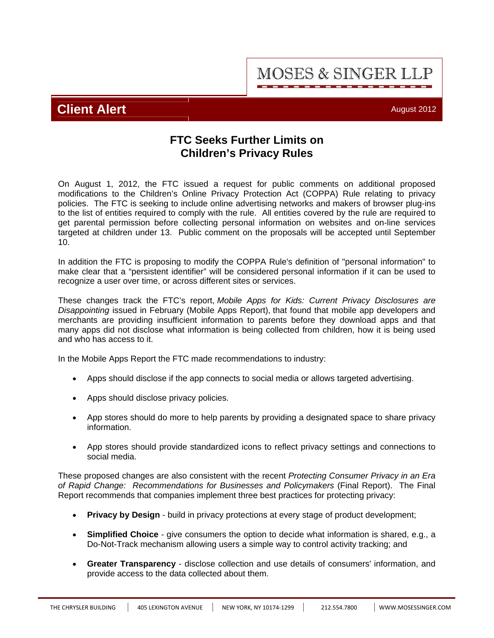**MOSES & SINGER LLP** 

# **Client Alert** August 2012

## **FTC Seeks Further Limits on Children's Privacy Rules**

On August 1, 2012, the FTC issued a request for public comments on additional proposed modifications to the Children's Online Privacy Protection Act (COPPA) Rule relating to privacy policies. The FTC is seeking to include online advertising networks and makers of browser plug-ins to the list of entities required to comply with the rule. All entities covered by the rule are required to get parental permission before collecting personal information on websites and on-line services targeted at children under 13. Public comment on the proposals will be accepted until September 10.

In addition the FTC is proposing to modify the COPPA Rule's definition of "personal information" to make clear that a "persistent identifier" will be considered personal information if it can be used to recognize a user over time, or across different sites or services.

These changes track the FTC's report, *Mobile Apps for Kids: Current Privacy Disclosures are Disappointing* issued in February (Mobile Apps Report), that found that mobile app developers and merchants are providing insufficient information to parents before they download apps and that many apps did not disclose what information is being collected from children, how it is being used and who has access to it.

In the Mobile Apps Report the FTC made recommendations to industry:

- Apps should disclose if the app connects to social media or allows targeted advertising.
- Apps should disclose privacy policies.
- App stores should do more to help parents by providing a designated space to share privacy information.
- App stores should provide standardized icons to reflect privacy settings and connections to social media.

These proposed changes are also consistent with the recent *Protecting Consumer Privacy in an Era of Rapid Change: Recommendations for Businesses and Policymakers* (Final Report). The Final Report recommends that companies implement three best practices for protecting privacy:

- **Privacy by Design** build in privacy protections at every stage of product development;
- **Simplified Choice**  give consumers the option to decide what information is shared, e.g., a Do-Not-Track mechanism allowing users a simple way to control activity tracking; and
- **Greater Transparency** disclose collection and use details of consumers' information, and provide access to the data collected about them.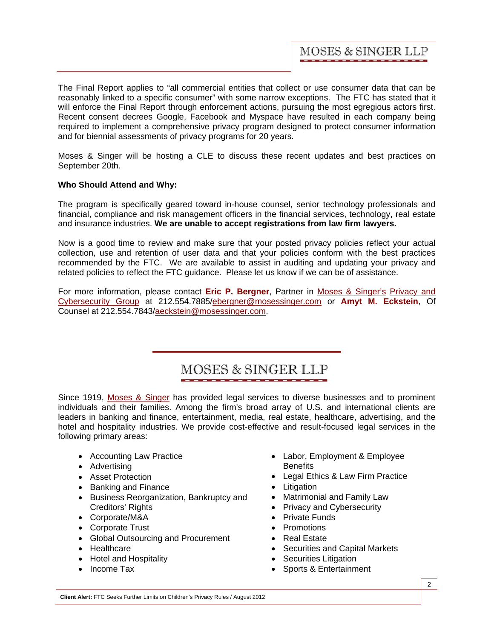The Final Report applies to "all commercial entities that collect or use consumer data that can be reasonably linked to a specific consumer" with some narrow exceptions. The FTC has stated that it will enforce the Final Report through enforcement actions, pursuing the most egregious actors first. Recent consent decrees Google, Facebook and Myspace have resulted in each company being required to implement a comprehensive privacy program designed to protect consumer information and for biennial assessments of privacy programs for 20 years.

Moses & Singer will be hosting a CLE to discuss these recent updates and best practices on September 20th.

## **Who Should Attend and Why:**

The program is specifically geared toward in-house counsel, senior technology professionals and financial, compliance and risk management officers in the financial services, technology, real estate and insurance industries. **We are unable to accept registrations from law firm lawyers.**

Now is a good time to review and make sure that your posted privacy policies reflect your actual collection, use and retention of user data and that your policies conform with the best practices recommended by the FTC. We are available to assist in auditing and updating your privacy and related policies to reflect the FTC guidance. Please let us know if we can be of assistance.

For more information, please contact **Eric P. Bergner**, Partner in [Moses & Singer's](http://mosesandsinger.com/firm_profile/firm_description.php) Privacy and [Cybersecurity Group at 212.554.7885/ebergner@mosessinger.com or](http://mosesandsinger.com/Privacy_and_Cybersecurity/) **Amyt M. Eckstein**, Of Counsel at 212.554.7843/aeckstein@mosessinger.com.

# MOSES & SINGER LLP

Since 1919, [Moses & Singer](http://mosesandsinger.com/firm_profile/firm_description.php) has provided legal services to diverse businesses and to prominent individuals and their families. Among the firm's broad array of U.S. and international clients are leaders in banking and finance, entertainment, media, real estate, healthcare, advertising, and the hotel and hospitality industries. We provide cost-effective and result-focused legal services in the following primary areas:

- Accounting Law Practice
- Advertising
- Asset Protection
- Banking and Finance
- Business Reorganization, Bankruptcy and Creditors' Rights
- Corporate/M&A
- Corporate Trust
- Global Outsourcing and Procurement
- Healthcare
- Hotel and Hospitality
- Income Tax
- Labor, Employment & Employee **Benefits**
- Legal Ethics & Law Firm Practice
- Litigation
- Matrimonial and Family Law
- Privacy and Cybersecurity
- Private Funds
- Promotions
- Real Estate
- Securities and Capital Markets
- Securities Litigation
- Sports & Entertainment